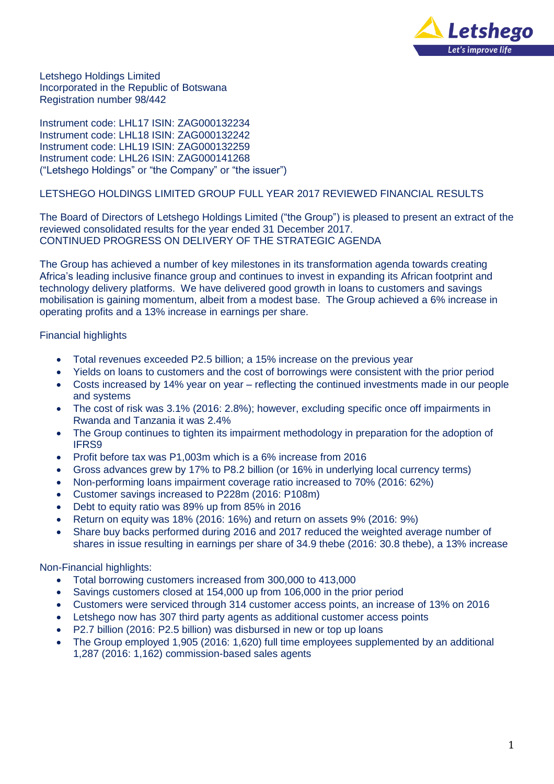

Letshego Holdings Limited Incorporated in the Republic of Botswana Registration number 98/442

Instrument code: LHL17 ISIN: ZAG000132234 Instrument code: LHL18 ISIN: ZAG000132242 Instrument code: LHL19 ISIN: ZAG000132259 Instrument code: LHL26 ISIN: ZAG000141268 ("Letshego Holdings" or "the Company" or "the issuer")

# LETSHEGO HOLDINGS LIMITED GROUP FULL YEAR 2017 REVIEWED FINANCIAL RESULTS

The Board of Directors of Letshego Holdings Limited ("the Group") is pleased to present an extract of the reviewed consolidated results for the year ended 31 December 2017. CONTINUED PROGRESS ON DELIVERY OF THE STRATEGIC AGENDA

The Group has achieved a number of key milestones in its transformation agenda towards creating Africa's leading inclusive finance group and continues to invest in expanding its African footprint and technology delivery platforms. We have delivered good growth in loans to customers and savings mobilisation is gaining momentum, albeit from a modest base. The Group achieved a 6% increase in operating profits and a 13% increase in earnings per share.

## Financial highlights

- Total revenues exceeded P2.5 billion; a 15% increase on the previous year
- Yields on loans to customers and the cost of borrowings were consistent with the prior period
- Costs increased by 14% year on year reflecting the continued investments made in our people and systems
- The cost of risk was 3.1% (2016: 2.8%); however, excluding specific once off impairments in Rwanda and Tanzania it was 2.4%
- The Group continues to tighten its impairment methodology in preparation for the adoption of IFRS9
- Profit before tax was P1,003m which is a 6% increase from 2016
- Gross advances grew by 17% to P8.2 billion (or 16% in underlying local currency terms)
- Non-performing loans impairment coverage ratio increased to 70% (2016: 62%)
- Customer savings increased to P228m (2016: P108m)
- Debt to equity ratio was 89% up from 85% in 2016
- Return on equity was 18% (2016: 16%) and return on assets 9% (2016: 9%)
- Share buy backs performed during 2016 and 2017 reduced the weighted average number of shares in issue resulting in earnings per share of 34.9 thebe (2016: 30.8 thebe), a 13% increase

### Non-Financial highlights:

- Total borrowing customers increased from 300,000 to 413,000
- Savings customers closed at 154,000 up from 106,000 in the prior period
- Customers were serviced through 314 customer access points, an increase of 13% on 2016
- Letshego now has 307 third party agents as additional customer access points
- P2.7 billion (2016: P2.5 billion) was disbursed in new or top up loans
- The Group employed 1,905 (2016: 1,620) full time employees supplemented by an additional 1,287 (2016: 1,162) commission-based sales agents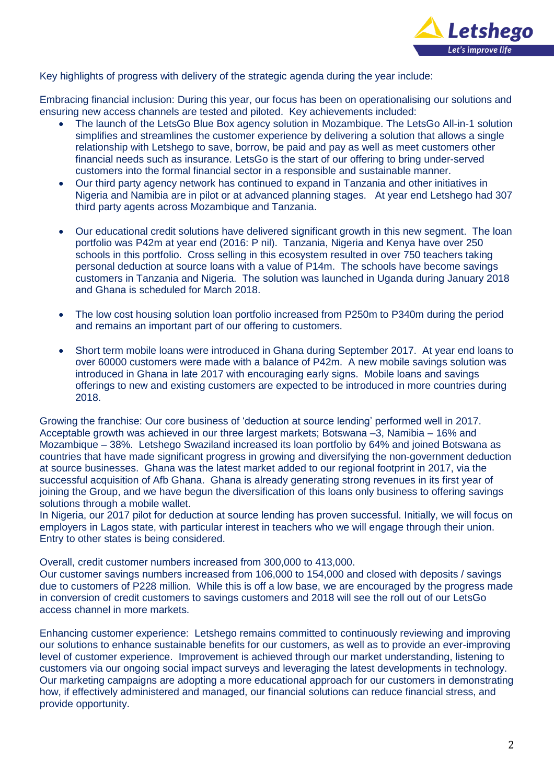

Key highlights of progress with delivery of the strategic agenda during the year include:

Embracing financial inclusion: During this year, our focus has been on operationalising our solutions and ensuring new access channels are tested and piloted. Key achievements included:

- The launch of the LetsGo Blue Box agency solution in Mozambique. The LetsGo All-in-1 solution simplifies and streamlines the customer experience by delivering a solution that allows a single relationship with Letshego to save, borrow, be paid and pay as well as meet customers other financial needs such as insurance. LetsGo is the start of our offering to bring under-served customers into the formal financial sector in a responsible and sustainable manner.
- Our third party agency network has continued to expand in Tanzania and other initiatives in Nigeria and Namibia are in pilot or at advanced planning stages. At year end Letshego had 307 third party agents across Mozambique and Tanzania.
- Our educational credit solutions have delivered significant growth in this new segment. The loan portfolio was P42m at year end (2016: P nil). Tanzania, Nigeria and Kenya have over 250 schools in this portfolio. Cross selling in this ecosystem resulted in over 750 teachers taking personal deduction at source loans with a value of P14m. The schools have become savings customers in Tanzania and Nigeria. The solution was launched in Uganda during January 2018 and Ghana is scheduled for March 2018.
- The low cost housing solution loan portfolio increased from P250m to P340m during the period and remains an important part of our offering to customers.
- Short term mobile loans were introduced in Ghana during September 2017. At year end loans to over 60000 customers were made with a balance of P42m. A new mobile savings solution was introduced in Ghana in late 2017 with encouraging early signs. Mobile loans and savings offerings to new and existing customers are expected to be introduced in more countries during 2018.

Growing the franchise: Our core business of 'deduction at source lending' performed well in 2017. Acceptable growth was achieved in our three largest markets; Botswana –3, Namibia – 16% and Mozambique – 38%. Letshego Swaziland increased its loan portfolio by 64% and joined Botswana as countries that have made significant progress in growing and diversifying the non-government deduction at source businesses. Ghana was the latest market added to our regional footprint in 2017, via the successful acquisition of Afb Ghana. Ghana is already generating strong revenues in its first year of joining the Group, and we have begun the diversification of this loans only business to offering savings solutions through a mobile wallet.

In Nigeria, our 2017 pilot for deduction at source lending has proven successful. Initially, we will focus on employers in Lagos state, with particular interest in teachers who we will engage through their union. Entry to other states is being considered.

Overall, credit customer numbers increased from 300,000 to 413,000.

Our customer savings numbers increased from 106,000 to 154,000 and closed with deposits / savings due to customers of P228 million. While this is off a low base, we are encouraged by the progress made in conversion of credit customers to savings customers and 2018 will see the roll out of our LetsGo access channel in more markets.

Enhancing customer experience: Letshego remains committed to continuously reviewing and improving our solutions to enhance sustainable benefits for our customers, as well as to provide an ever-improving level of customer experience. Improvement is achieved through our market understanding, listening to customers via our ongoing social impact surveys and leveraging the latest developments in technology. Our marketing campaigns are adopting a more educational approach for our customers in demonstrating how, if effectively administered and managed, our financial solutions can reduce financial stress, and provide opportunity.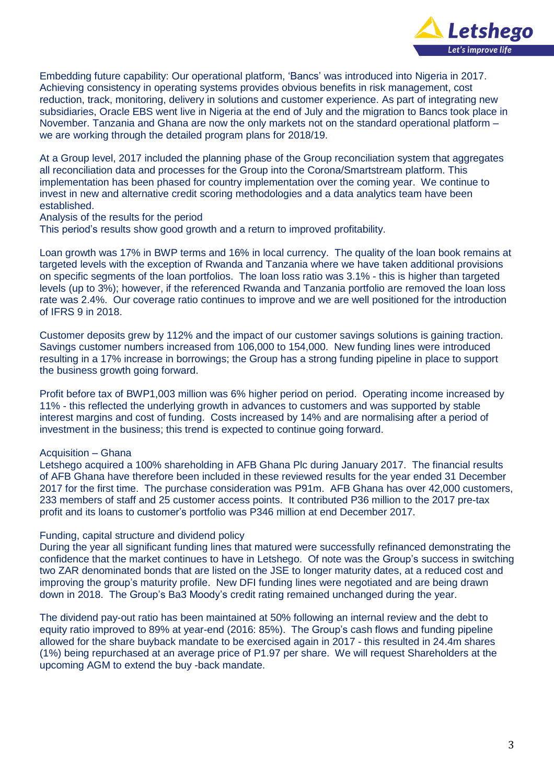

Embedding future capability: Our operational platform, 'Bancs' was introduced into Nigeria in 2017. Achieving consistency in operating systems provides obvious benefits in risk management, cost reduction, track, monitoring, delivery in solutions and customer experience. As part of integrating new subsidiaries, Oracle EBS went live in Nigeria at the end of July and the migration to Bancs took place in November. Tanzania and Ghana are now the only markets not on the standard operational platform – we are working through the detailed program plans for 2018/19.

At a Group level, 2017 included the planning phase of the Group reconciliation system that aggregates all reconciliation data and processes for the Group into the Corona/Smartstream platform. This implementation has been phased for country implementation over the coming year. We continue to invest in new and alternative credit scoring methodologies and a data analytics team have been established.

Analysis of the results for the period

This period's results show good growth and a return to improved profitability.

Loan growth was 17% in BWP terms and 16% in local currency. The quality of the loan book remains at targeted levels with the exception of Rwanda and Tanzania where we have taken additional provisions on specific segments of the loan portfolios. The loan loss ratio was 3.1% - this is higher than targeted levels (up to 3%); however, if the referenced Rwanda and Tanzania portfolio are removed the loan loss rate was 2.4%. Our coverage ratio continues to improve and we are well positioned for the introduction of IFRS 9 in 2018.

Customer deposits grew by 112% and the impact of our customer savings solutions is gaining traction. Savings customer numbers increased from 106,000 to 154,000. New funding lines were introduced resulting in a 17% increase in borrowings; the Group has a strong funding pipeline in place to support the business growth going forward.

Profit before tax of BWP1,003 million was 6% higher period on period. Operating income increased by 11% - this reflected the underlying growth in advances to customers and was supported by stable interest margins and cost of funding. Costs increased by 14% and are normalising after a period of investment in the business; this trend is expected to continue going forward.

## Acquisition – Ghana

Letshego acquired a 100% shareholding in AFB Ghana Plc during January 2017. The financial results of AFB Ghana have therefore been included in these reviewed results for the year ended 31 December 2017 for the first time. The purchase consideration was P91m. AFB Ghana has over 42,000 customers, 233 members of staff and 25 customer access points. It contributed P36 million to the 2017 pre-tax profit and its loans to customer's portfolio was P346 million at end December 2017.

### Funding, capital structure and dividend policy

During the year all significant funding lines that matured were successfully refinanced demonstrating the confidence that the market continues to have in Letshego. Of note was the Group's success in switching two ZAR denominated bonds that are listed on the JSE to longer maturity dates, at a reduced cost and improving the group's maturity profile. New DFI funding lines were negotiated and are being drawn down in 2018. The Group's Ba3 Moody's credit rating remained unchanged during the year.

The dividend pay-out ratio has been maintained at 50% following an internal review and the debt to equity ratio improved to 89% at year-end (2016: 85%). The Group's cash flows and funding pipeline allowed for the share buyback mandate to be exercised again in 2017 - this resulted in 24.4m shares (1%) being repurchased at an average price of P1.97 per share. We will request Shareholders at the upcoming AGM to extend the buy -back mandate.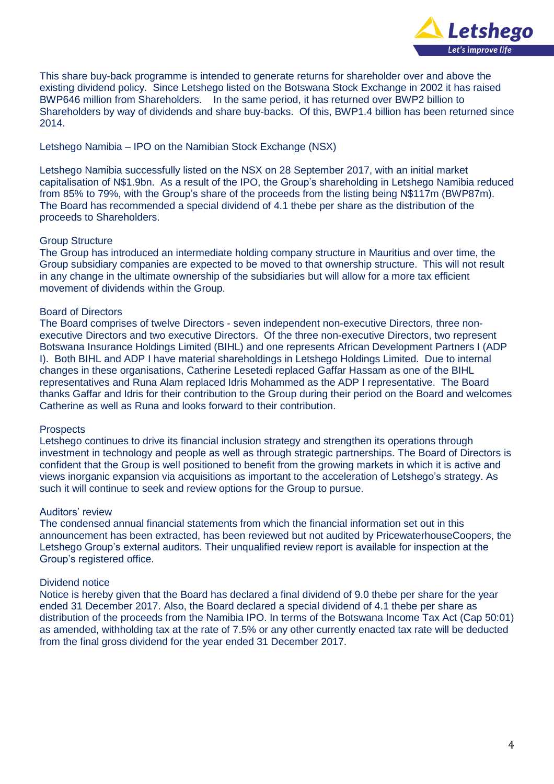

This share buy-back programme is intended to generate returns for shareholder over and above the existing dividend policy. Since Letshego listed on the Botswana Stock Exchange in 2002 it has raised BWP646 million from Shareholders. In the same period, it has returned over BWP2 billion to Shareholders by way of dividends and share buy-backs. Of this, BWP1.4 billion has been returned since 2014.

## Letshego Namibia – IPO on the Namibian Stock Exchange (NSX)

Letshego Namibia successfully listed on the NSX on 28 September 2017, with an initial market capitalisation of N\$1.9bn. As a result of the IPO, the Group's shareholding in Letshego Namibia reduced from 85% to 79%, with the Group's share of the proceeds from the listing being N\$117m (BWP87m). The Board has recommended a special dividend of 4.1 thebe per share as the distribution of the proceeds to Shareholders.

## Group Structure

The Group has introduced an intermediate holding company structure in Mauritius and over time, the Group subsidiary companies are expected to be moved to that ownership structure. This will not result in any change in the ultimate ownership of the subsidiaries but will allow for a more tax efficient movement of dividends within the Group.

## Board of Directors

The Board comprises of twelve Directors - seven independent non-executive Directors, three nonexecutive Directors and two executive Directors. Of the three non-executive Directors, two represent Botswana Insurance Holdings Limited (BIHL) and one represents African Development Partners I (ADP I). Both BIHL and ADP I have material shareholdings in Letshego Holdings Limited. Due to internal changes in these organisations, Catherine Lesetedi replaced Gaffar Hassam as one of the BIHL representatives and Runa Alam replaced Idris Mohammed as the ADP I representative. The Board thanks Gaffar and Idris for their contribution to the Group during their period on the Board and welcomes Catherine as well as Runa and looks forward to their contribution.

### **Prospects**

Letshego continues to drive its financial inclusion strategy and strengthen its operations through investment in technology and people as well as through strategic partnerships. The Board of Directors is confident that the Group is well positioned to benefit from the growing markets in which it is active and views inorganic expansion via acquisitions as important to the acceleration of Letshego's strategy. As such it will continue to seek and review options for the Group to pursue.

### Auditors' review

The condensed annual financial statements from which the financial information set out in this announcement has been extracted, has been reviewed but not audited by PricewaterhouseCoopers, the Letshego Group's external auditors. Their unqualified review report is available for inspection at the Group's registered office.

### Dividend notice

Notice is hereby given that the Board has declared a final dividend of 9.0 thebe per share for the year ended 31 December 2017. Also, the Board declared a special dividend of 4.1 thebe per share as distribution of the proceeds from the Namibia IPO. In terms of the Botswana Income Tax Act (Cap 50:01) as amended, withholding tax at the rate of 7.5% or any other currently enacted tax rate will be deducted from the final gross dividend for the year ended 31 December 2017.